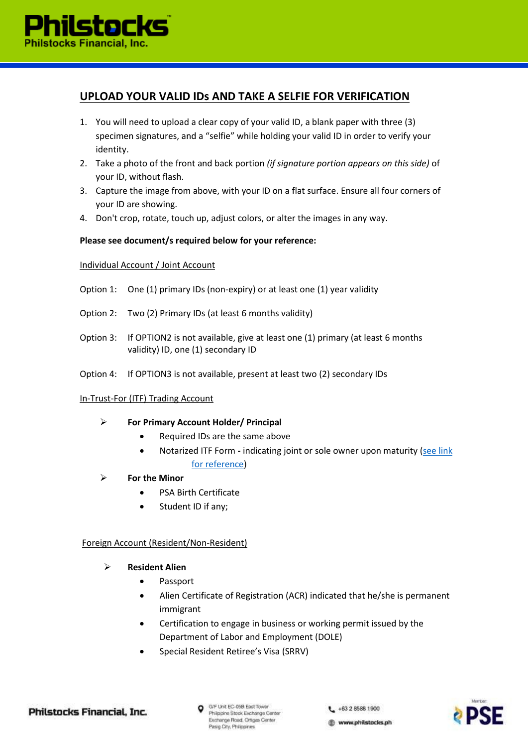

# **UPLOAD YOUR VALID IDs AND TAKE A SELFIE FOR VERIFICATION**

- 1. You will need to upload a clear copy of your valid ID, a blank paper with three (3) specimen signatures, and a "selfie" while holding your valid ID in order to verify your identity.
- 2. Take a photo of the front and back portion *(if signature portion appears on this side)* of your ID, without flash.
- 3. Capture the image from above, with your ID on a flat surface. Ensure all four corners of your ID are showing.
- 4. Don't crop, rotate, touch up, adjust colors, or alter the images in any way.

#### **Please see document/s required below for your reference:**

#### Individual Account / Joint Account

- Option 1: One (1) primary IDs (non-expiry) or at least one (1) year validity
- Option 2: Two (2) Primary IDs (at least 6 months validity)
- Option 3: If OPTION2 is not available, give at least one (1) primary (at least 6 months validity) ID, one (1) secondary ID
- Option 4: If OPTION3 is not available, present at least two (2) secondary IDs

#### In-Trust-For (ITF) Trading Account

### **For Primary Account Holder/ Principal**

- Required IDs are the same above
- Notarized ITF Form **-** indicating joint or sole owner upon maturity [\(see link](https://cdn.philstocks.ph/v5/docs/itf_procedure.pdf)  [for reference\)](https://cdn.philstocks.ph/v5/docs/itf_procedure.pdf)
- **For the Minor**
	- PSA Birth Certificate
	- Student ID if any;

#### Foreign Account (Resident/Non-Resident)

#### **Resident Alien**

- Passport
- Alien Certificate of Registration (ACR) indicated that he/she is permanent immigrant
- Certification to engage in business or working permit issued by the Department of Labor and Employment (DOLE)
- Special Resident Retiree's Visa (SRRV)

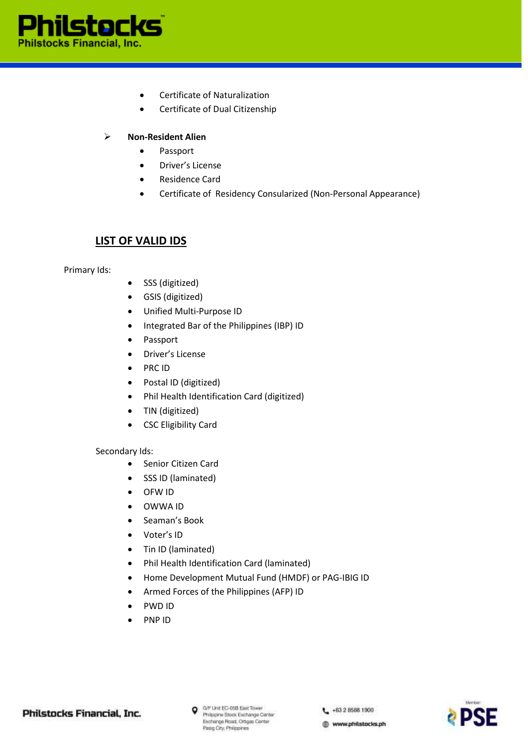

- Certificate of Naturalization
- Certificate of Dual Citizenship

## **Non-Resident Alien**

- Passport
- Driver's License
- Residence Card
- Certificate of Residency Consularized (Non-Personal Appearance)

# **LIST OF VALID IDS**

Primary Ids:

- SSS (digitized)
- GSIS (digitized)
- Unified Multi-Purpose ID
- Integrated Bar of the Philippines (IBP) ID
- Passport
- Driver's License
- PRC ID
- Postal ID (digitized)
- Phil Health Identification Card (digitized)
- TIN (digitized)
- CSC Eligibility Card

### Secondary Ids:

- Senior Citizen Card
- SSS ID (laminated)
- OFW ID
- OWWA ID
- Seaman's Book
- Voter's ID
- Tin ID (laminated)
- Phil Health Identification Card (laminated)
- Home Development Mutual Fund (HMDF) or PAG-IBIG ID
- Armed Forces of the Philippines (AFP) ID
- PWD ID
- PNP ID